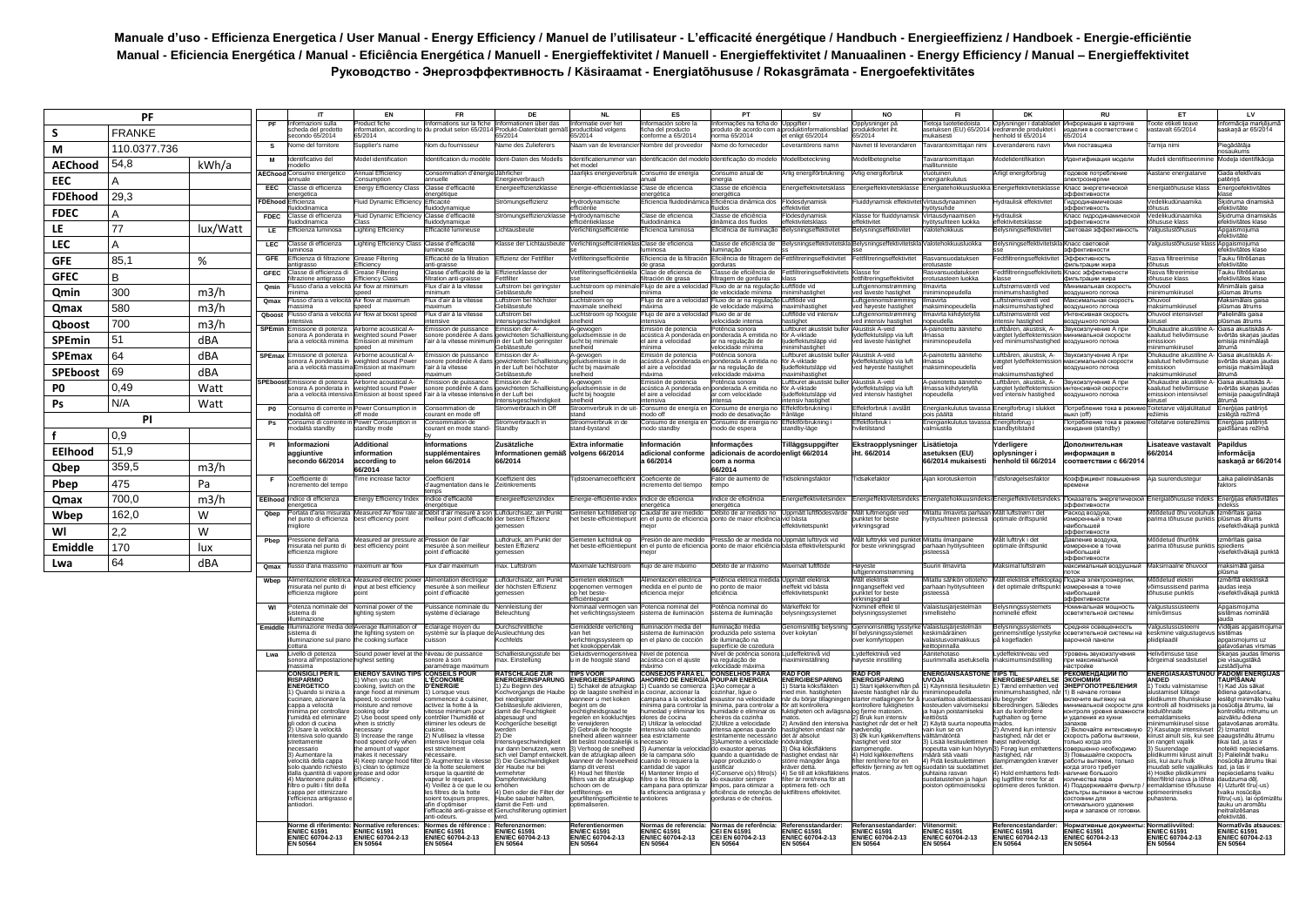## **Manuale d'uso - Efficienza Energetica / User Manual - Energy Efficiency / Manuel de l'utilisateur - L'efficacité énergétique / Handbuch - Energieeffizienz / Handboek - Energie-efficiëntie**  Manual - Eficiencia Energética / Manual - Eficiência Energética / Manuell - Energieffektivitet / Manuell - Energieffektivitet / Manuaalinen - Energy Efficiency / Manual – Energieffektivitet **Руководство - Энергоэффективность / Käsiraamat - Energiatõhususe / Rokasgrāmata - Energoefektivitātes**

|                 | <b>PF</b>        |          |                    | IT                                                                             | EN                                                            | <b>FR</b>                                                                 | DE                                                              | <b>NL</b>                                                                           | ES                                                                    | PT                                                                                                   | <b>SV</b>                                                                   | <b>NO</b>                                                             | FI.                                                                 | DK                                                                 | <b>RU</b>                                                        | ET                                                                     | LV                                                                    |
|-----------------|------------------|----------|--------------------|--------------------------------------------------------------------------------|---------------------------------------------------------------|---------------------------------------------------------------------------|-----------------------------------------------------------------|-------------------------------------------------------------------------------------|-----------------------------------------------------------------------|------------------------------------------------------------------------------------------------------|-----------------------------------------------------------------------------|-----------------------------------------------------------------------|---------------------------------------------------------------------|--------------------------------------------------------------------|------------------------------------------------------------------|------------------------------------------------------------------------|-----------------------------------------------------------------------|
| s               | <b>FRANKE</b>    |          |                    | ormazioni sulla<br>cheda del prodotto<br>condo 65/2014                         | oduct fiche<br>ormation, according<br>5/2014                  | ormations sur la fiche<br>produit selon 65/201                            | formationen über das<br>odukt-Datenblatt gemä<br>5/2014         | ormatie over het<br>oductblad volgens<br>5/2014                                     | ormación sobre la<br>ha del producto<br>onforme a 65/2014             | ormacões na ficha do<br>oduto de acordo con<br>ma 65/2014                                            | duktinformation<br>t enligt 65/2014                                         | pplysninger på<br>oduktkortet iht<br>5/2014                           | etoja tuotetied<br>etuksen (EU) 65/201<br>ukaisesti                 | lysninger i datablade<br>ørende produktet<br>enhold til 65/2014    | нформация в карточке<br>делия в соответствии с<br>5/2014         | oote etiketi tear<br>stavalt 65/2014                                   | lormācija markēju<br>skaņā ar 65/2014                                 |
| M               | 110.0377.736     |          | s                  | ome del fornitore                                                              | upplier's name                                                | om du fournisseur                                                         | ame des Zulieferers                                             | aam van de leveranci                                                                | mbre del proveedo                                                     | ome do fornecedor                                                                                    | verantörens namn                                                            | avnet til leverandører                                                | avarantoimittajan nim                                               | werandørens navr                                                   | ия поставщика                                                    | arnija nimi                                                            | iegādātāja<br>säukums                                                 |
| <b>AEChood</b>  | 54,8             | kWh/a    |                    | entificativo de                                                                | odel identificatio                                            | ntification du mod                                                        | ent-Daten des Mode                                              | ntificatienumme<br>t model                                                          |                                                                       | ntificação do mode                                                                                   | ellbeteckning                                                               | dellbetegnels                                                         | avarantoimittaja<br><b>Illitunniste</b>                             | delidentifikatio                                                   | нтификация модел                                                 | deli identifitseerim                                                   | odeļa identifikācija                                                  |
| <b>EEC</b>      | А                |          | <b>AEChood</b>     | Consumo energetica<br>uale                                                     | Annual Efficiency<br>onsumption                               | consommation d'énergie<br>ماامرر                                          | <b>Jährlicher</b><br>ergieverbrauch                             | aarlijks energieverbruik                                                            | Consumo de eneraía                                                    | consumo anual de<br>rgia                                                                             | lia eneraiförbruknina                                                       | rlia eneraiforbruk                                                    | uotuinen<br>ergiankulutus                                           | rligt energiforbrug                                                | одовое потреблени<br>ктроэнерги                                  | astane energiatarve                                                    | Gada efektīvais<br>tērinš                                             |
| <b>FDEhood</b>  | 29.3             |          | EEC                | lasse di efficienza<br>metica                                                  | nergy Efficiency Clas                                         | lasse d'efficacit<br>aining                                               | hergieeffizienzklass                                            | ergie-efficiëntiek                                                                  | lase de eficiencia<br>roética                                         | lasse de eficiência<br>ergética                                                                      | ergieffektivitetskla                                                        | ergieffektivitetskl                                                   | ergiatehokkuus                                                      | hergieffektivitets                                                 | пасс энергетическо<br>ффективности                               | ergiatõhususe klas                                                     | hergoefektivitätes                                                    |
|                 |                  |          | <b>FDEho</b>       | fficienza<br>uidodinamica                                                      | uid Dynamic Efficie                                           | ficacité<br>dodvnamigue                                                   | römungseffizienz                                                | lydrodynamisch<br>fficiëntie                                                        | ficiencia fluidodin                                                   | ficiência dinâmica do<br>dos                                                                         | ödesdynamisk<br>fektivitet                                                  | uiddynamisk effek                                                     | irtausdynaamin<br>ötysuhde                                          | vdraulisk effektivi                                                | пролинамическа<br>Фективность                                    | edelikudünaamika<br>usus                                               | sidruma dinamiskā<br>stivitäte                                        |
| <b>FDEC</b>     | А                |          | <b>FDEC</b>        | lasse di efficienza<br>dodinamica                                              | luid Dvnamic Efficien                                         | lasse d'efficacité                                                        | römungseffizienzklass                                           | vdrodynamische<br>iciëntieklasse                                                    | lase de eficiencia<br>idodinámica                                     | asse de eficiência<br>nâmica dos fluidos                                                             | ödesdvnamisk<br>ektivitetsklas                                              | lasse for fluiddynami:<br>fektivitet                                  | 'irtausdynaamisen<br>ötvsuhteen luokka                              | /draulisk<br>fektivitetsklass                                      | пасс гидродинамической                                           | edelikudünaamika<br><b>ususe klass</b>                                 | kidruma dinamiskās<br>ektivitātes klase                               |
| LE              | 77               | lux/Watt | LE                 | ficienza luminosa                                                              | ighting Efficiency                                            | ficacité lumineus                                                         | chtausbeut                                                      | erlichtingsefficiënti                                                               | iciencia luminosa                                                     | iciência de iluminaçã                                                                                | lysningseffektivite                                                         | elysningseffektivite                                                  | otehokkuus                                                          | <b>alysningseffektiv</b>                                           | етовая эффективность                                             | lgustustõhusus                                                         | ogaismojuma<br>ktivitāte                                              |
| <b>LEC</b>      | А                |          | LEC                | lasse di efficienza<br>hinosa                                                  | ighting Efficiency Clas                                       | lasse d'efficacité                                                        | asse der Lichtausbeut                                           | erlichtingsefficiënt                                                                | lase de eficiencia<br>inosa                                           | asse de eficiência de<br>ıminacão                                                                    | ysningseffektiv                                                             | elysningseffektivi                                                    | alotehokkuusluokka                                                  | elysningseffekt                                                    | пасс световой<br>ффективности                                    | gustustõhususe klas                                                    | naismojums<br>ektivitātes klase                                       |
| <b>GFF</b>      | 85,1             | %        | <b>GFE</b>         | ficienza di filtrazione<br>arassa                                              | irease Filtering<br>ficiency                                  | fficacité de la filtration<br>ti-graisse                                  | fizienz der Fettfilte<br>fizienzklasse de                       | tfilterinasefficiëntie                                                              | ficiencia de la filtració<br>e grasa                                  | iciência de filtragem c<br>rduras                                                                    | tfiltrerinaseffektivite                                                     | ettfiltreringseffektivite<br>asse fo                                  | asvansuodatuksen<br>otusaste                                        | edtfiltreringseffekt                                               | Эффективность<br>льтрации жира                                   | asva filtreerimise<br><b>USUS</b>                                      | auku filtrēšanas<br>ektivitāte<br>auku filtrēšanas                    |
| <b>GFEC</b>     | B                |          | <b>GFE</b><br>Omir | asse di efficienza o<br>trazione antigrasso<br>lusso d'aria a velocità.        | rease Filterin<br>fficiency Class<br>Air flow at minimum      | lasse d'efficacité de<br>Itration anti-graisse<br>Flux d'air à la vitesse | ttfilter<br>ıftstrom bei gerina                                 | etfilteringsefficiën<br>uchtstroom op minin                                         | lase de eficiencia<br>tración de grasa<br>Flujo de aire a velocid     | asse de eficiência de<br>tragem de gorduras<br>Fluxo de ar na regulaçã                               | ttfiltreringseffektivit<br>uftflöde vid                                     | filtreringseffektivitet<br>iftgjennomstrømming                        | asvansuodatukse<br>otusasteen luokka<br>navirta                     | edtfiltreringseffek<br>isse<br>uftstrømsværdi ved                  | асс эффективност<br>комж мицвотым<br>нимальная скорость          | sva filtreerimis<br>iususe klass<br>huvool                             | ektivitātes klase<br>inimālais gaisa                                  |
| Qmin            | 300              | m3/h     | Omax               | ıima<br>usso d'aria a velocità Air flow at maximum                             | ed                                                            | nimum<br>lux d'air à la vitesse                                           | ebläsestufe<br>ftstrom bei höchste                              | elheid<br>uchtstroom op                                                             | luio de aire a velocid                                                | velocidade mínima<br>luxo de ar na regulaçã                                                          | nimihastighe<br>uftflöde vid                                                | I laveste hastighet                                                   | iminopeudella<br>navirta                                            | inimumshastighed<br>uftstrømsværdi ved                             | здушного потока<br>аксимальная скорость                          | imumkiiruse<br>huvool                                                  | ismas ātrums<br>aksimālais gaisa                                      |
| Qmax            | 580              | m3/h     | Qboos              | ecima<br>usso d'aria a velocità                                                | Air flow at boost spee                                        | ivimum<br>lux d'air à la vitesse                                          | ebläsestufe<br><b>iftstrom</b> bei                              | aximale snelheir<br>uchtstroom op hoogs                                             | áxima<br>lujo de aire a velo                                          | velocidade máxima<br>uxo de ar de                                                                    | aximihastiohe<br>uftflöde vid intens                                        | uftgjennomstrømming<br>⊧d høyeste hastighet<br>ftgjennomstrømming     | iaksiminopeudella<br>navirta kiihdytetyllä                          | aksimumshastighed<br>uftstrømsværdi ved                            | злушного потока<br>генсивная скорость                            | aksimumkiiruse<br>uvool intensiivse                                    | <b>Ismas Atrums</b><br>alielināts gaisa                               |
| <b>Qboost</b>   | 700              | m3/h     | SPEmin             | nsiva<br>missione di potenza                                                   | rborne acoustical A                                           | nsive<br>nission de puissance                                             | 'ensivaeschwindiakei'<br>nission der A-                         | elheid<br>-gewogen<br>eluidsemissie in de                                           | nsiva<br>nisión de potencia                                           | ocidade intensa<br>tência sonora                                                                     | astighet<br>uftburet akustiskt bul                                          | d intensiv hastighet<br>kustisk A-veid                                | ppeudella<br>-painotettu ääniteh                                    | tensiv hastighed<br>uftbåren, akustisk, A-                         | здушного потока<br>звукоизлучение А при                          | usel<br>hukaudne akustiline                                            | ismas ātrums<br>aisa akustiskās A                                     |
| <b>SPEmin</b>   | 51               | dBA      |                    | nora A ponderata i<br>ia a velocità minima                                     | sighted sound Powe<br>iission at minimum<br>hoe               | onore pondérée A da<br>air à la vitesse minim                             | ichteten Schallleist<br>der Luft bei geringste<br>ehläsestufe   | ucht bij minimale                                                                   | istica A ponderada<br>l aire a velocidad                              | nderada A emitida n<br>r na regulação de<br>locidade mínima                                          | r A-viktade<br>deffektutsläpp vid                                           | deffektutslipp via luft<br>d laveste hastighet                        | iassa<br>iniminopeudella                                            | egtet lydeffektemissio<br>ed minimumshastigheo                     | имальной скорости<br>оздушного потока                            | llutud helivõimsuse<br>iissioon<br><b>imumkiiruse</b>                  | ērtās skaņas jaudas<br>nisiia minimäläiä<br>ruma                      |
| <b>SPEmax</b>   | 64               | dBA      | <b>SPEmax</b>      | missione di potenza<br>ynora A nonderata in                                    | rborne acoustical A<br>sighted sound Powe                     | ission de puissance<br>onore pondérée A da                                | nission der A<br>wichteten Schallleisti                         | ∙gewogen<br>eluidsemissie in de                                                     | nisión de potencia<br>tústica A nonderada.                            | tência sonora<br>onderada A emitida n                                                                | nimihastighet<br>tburet akustiskt b<br>r A-viktade                          | ustisk A-veid<br>deffektutslinn via luft                              | painotettu ääniteh<br>nassa                                         | uftbåren, akustisk, A-<br>eatet Ivdeffektemissio                   | зукоизлучение А при<br>іксимальной скорости                      | ukaudne akustiline<br>alutud helivõimsuse                              | aisa akustiskās A-<br>vērtās skanas iauda:                            |
| <b>SPEboost</b> | 69               | dBA      |                    | ia a velocità massi                                                            | sion at maximum<br>hoe                                        | air à la vitesse<br>vimum                                                 | der Luft bei höchste<br>ebläsestufe                             | ucht bij maximale<br>higdle                                                         | aire a velocidad<br>áxima                                             | na regulação de<br>locidade máxima                                                                   | effektutsläpp vid<br>ximihastighet                                          | d høyeste hastighet                                                   | aksiminopeudella                                                    | aksimumshastighed                                                  | здушного потока                                                  | ssioon<br>ksimumkiiruse                                                | nisija maksimālajā<br>rumā                                            |
| P0              | 0,49             | Watt     |                    | missione di notenza<br>onora A ponderata in                                    | rhome acoustical A<br>sighted sound Power                     | ission de puissanc<br>onore pondérée A dan                                | nission der A<br>wichteten Schall                               | -gewogen<br>eluidsemissie in de                                                     | nisión de notencia<br>cústica A ponderada                             | atência sonora<br>onderada A emitida n                                                               | ftburet akustiskt bu<br>r A-viktade                                         | custisk A-veid<br>deffektutslipp via luft                             | nainotettu ääniteh<br>nassa kiihdytetyllä                           | uftbåren, akustisk, A-<br>aegtet lydeffektemissi                   | икоизпучение А при<br>генсивной скорости                         | ukaudne akustiline<br>alutud helivõimsuse                              | aisa akustiskās A-<br>ērtās skaņas jauda:                             |
| Ps              | N/A              | Watt     |                    | ia a velocità intens                                                           | ssion at boost spe                                            | air à la vitesse intens                                                   | der Luft bei<br>ensivgeschwindigkeit                            | ucht bij hoogste                                                                    | aire a velocidad<br>ensiva                                            | com velocidade<br>nsa                                                                                | leffektutslänn vid<br>ensiv hastighet                                       | d intensiv hastighet                                                  | peudella                                                            | d intensiv hastighed                                               | здушного потока                                                  | issioon intensiivsel                                                   | nisija paaugstinātajā                                                 |
|                 | ΡI               |          | P <sub>0</sub>     | consumo di corrente<br>odalità off                                             | ower Consumption i<br>ff mode                                 | onsommation de<br>ourant en mode off                                      | 'omverbrauch in Of                                              | roomverbruik in de<br>and                                                           | onsumo de eneraía<br>odo off                                          | onsumo de energia n<br>odo de desativação                                                            | fektförbrukning<br>rånläge                                                  | fektforbruk i avslåt<br>stand                                         | hergiankulutus tav<br>is päältä                                     | :nergiforbrug i slukket<br>stand                                   | отребление тока в режи<br>$\overline{c}$ n $\overline{c}$        | pitetarve välialülitatu                                                | nerģijas patērins<br>slēgtā režīmā                                    |
| f               | 0,9              |          |                    | onsumo di corre<br>odalità standby                                             | ower Consumption<br>tandby mode                               | onsommation de<br>burant en mode stand                                    | romverbrauch i<br>andby                                         | roomverbruik<br>tand-bystand                                                        | onsumo de energía<br>odo standby                                      | onsumo de energia r<br>odo de espera                                                                 | fektförbrukning<br>tandby-läge                                              | ffektforbruk<br><i>r</i> iletilstand                                  | nergiankulutus t<br>almiustila                                      | nergiforbrug<br>andbytilstand                                      | отребление тока в ре:<br>жидания (standby)                       | itetarve ooterežiir                                                    | nerģijas patēriņš<br>aidīšanas režīmā                                 |
|                 | 51,9             |          | PI                 | Informazioni                                                                   | <b>Additional</b>                                             | nformations                                                               | Zusätzliche                                                     | Extra informatie                                                                    | nformación                                                            | nformações                                                                                           | <b>Tilläggsuppgifter</b>                                                    | Ekstraopplysninge                                                     | _isätietoja                                                         | Yderligere                                                         | Іополнительная                                                   | Lisateave vastavalt                                                    | Papildus                                                              |
| <b>EEIhood</b>  | 359.5            |          |                    | aggiuntive<br>econdo 66/2014                                                   | information<br>according to                                   | supplémentaires<br>elon 66/2014                                           | nformationen gemäß<br>66/2014                                   | volgens 66/2014                                                                     | dicional conforr<br>a 66/2014                                         | dicionais de acord<br>com a norma                                                                    | enligt 66/2014                                                              | t. 66/2014                                                            | setuksen (EU)<br>6/2014 mukaisest                                   | oplysninger<br>enhold til 66/2014                                  | нформация в<br>соответствии с 66/201                             | 6/2014                                                                 | nformācija<br>askaņā ar 66/2014                                       |
| Qbep            |                  | m3/h     |                    | cefficiente di                                                                 | 6/2014<br>me increase factor                                  | oefficient                                                                | oeffizient des                                                  | idstoenamecoëfficiënt                                                               | Coeficiente de                                                        | 6/2014<br>ator de aumento de                                                                         | dsökningsfaktor                                                             | dsøkefaktor                                                           | ian korotuskerroin                                                  | dsforøgelsesfaktor                                                 | Соэффициент повышения                                            | ia suurendustegur                                                      | Laika palielināšanās                                                  |
| Pbep            | 475              | Pa       |                    | remento del tempo                                                              |                                                               | augmentation dans le                                                      | itinkrements                                                    |                                                                                     | remento del tiempo                                                    | hpc                                                                                                  |                                                                             |                                                                       |                                                                     |                                                                    |                                                                  |                                                                        |                                                                       |
| <b>Qmax</b>     | 700,0            | m3/h     | EElhoo             | ndice di efficienza                                                            | ergy Efficiency Index                                         | dice d'efficacité<br>raétique                                             | ergieeffizienzindex                                             | ergie-efficientie-inde                                                              | ndice de eficiencia                                                   | dice de eficiência<br>ergética                                                                       | ergieffektivitetsinde                                                       | ergieffektivitetsinde                                                 | ergiatehokkuusinde                                                  | ergieffektivitets                                                  | оказатель энергетическо<br>офективности                          | ergiatõhususe indek                                                    | erģijas efektivitātes<br>kss                                          |
| Wbep            | 162.0            | W        | Qbep               | ortata d'aria misurata<br>și punto di efficienza<br>gliore                     | asured Air flow rate a<br>st efficiency point                 | Débit d'air mesuré à so<br>eilleur point d'efficaci                       | iftdurchsatz, am Punk<br>er besten Effizienz<br>essen           | emeten luchtdebiet op<br>t beste-efficiëntiepur                                     | audal de aire medido<br>n el punto de eficiend                        | ébito de ar medido no<br>onto de maior eficiênc                                                      | Jppmätt luftf<br>rid hästa<br>ktivitetspunk                                 | ålt luftmengde ved<br>inktet for beste<br>kningsgrad                  | tattu ilmavirta parha<br>ötysuhteen pisteessä                       | ålt luftstrøm i de<br>otimale driftspunk                           | асход воздуха                                                    | õdetud õhu vooluhu<br>ima tõhususe punkti                              | mērītais gaisa<br>iemae āfrume<br>efektīvākajā punktā                 |
| WI              | $2.2\phantom{0}$ | W        | Pbep               | ressione dell'aria                                                             | leasured air pressure a                                       | ression de l'air                                                          |                                                                 | iemeten luchtdruk op                                                                |                                                                       | ressão de ar medida no                                                                               |                                                                             | lålt lufttrykk ved punkte                                             | Mitattu ilmanpaine                                                  | lâlt lufttryk i det                                                | ффективности<br>вление воздуха,                                  | lőődetud öhuröhk                                                       | mērītais gaisa                                                        |
| Emiddle         | 170              | lux      |                    | isurata nel punto di<br>icienza migliore                                       | est efficiency point                                          | nesurée à son meiller<br>bint d'efficacité                                | uftdruck, am Punkt der<br>esten Effizienz<br>messen             | et beste-efficiëntiepun                                                             | Presión de aire medido<br>en el punto de eficiencia                   | oonto de maior eficiênci                                                                             | Uppmätt lufttryck vid<br>båsta effektivitetspunk                            | r beste virkningsgrad                                                 | xarhaan hyötysuhteer<br>š2299t:                                     | ptimale driftspunk                                                 | меренное в точке<br>ибольшей                                     | arima tõhususe punkti                                                  | viediens<br>efektīvākajā punkta                                       |
| Lwa             | 64               | dBA      | Omax               | sso d'aria massimo                                                             | aximum air flow                                               | ux d'air maximum                                                          | ax. Luftstrom                                                   | uximale luchtstroom                                                                 | uio de aire máximo                                                    | ébito de ar máximo                                                                                   | aximalt luftflöde                                                           | øveste<br>tgjennomstrømming                                           | uurin ilmavirta                                                     | aksimal luftstrøm                                                  | ффективности<br>аксимальный воздушны                             | aksimaalne õhuvool                                                     | aksimālā gaisa                                                        |
|                 |                  |          | Wben               | mentazione elettric<br>isurata nel punto di                                    | asured electric pow<br>nnut at best efficiency                | nentation électriqu<br>esurée à son meilleu                               | iftdurchsatz, am Punk<br>er höchsten Effizienz                  | meten elektrisch<br>idenomen vermoger                                               | nentación eléctrica<br>edida en el punto de                           | ência elétrica medi<br>o ponto de maior                                                              | ppmätt elektris<br>effekt vid hästa                                         | ålt elektrisk<br>ingangseffekt ved                                    | tattu sähkön ottotel<br>arhaan hvötvsuhteer                         | alt elektrisk effektopta<br>det optimale driftspun                 | одача электроэнергии<br><b>меренная в точке</b>                  | õdetud elektr<br>msussisend narima                                     | nērītā elektriska<br>udas ieeia                                       |
|                 |                  |          |                    | icienza migliore                                                               |                                                               | int d'efficacité                                                          | lessen                                                          | het beste-<br>iciëntienunt                                                          | iencia meior                                                          | ciência                                                                                              | ivitetspunk                                                                 | inktet for beste<br>kningsgrad                                        | teessä                                                              |                                                                    | ибольшей<br>ффективности                                         | ususe punktis                                                          | sefektīvākajā punktā                                                  |
|                 |                  |          | WI                 | otenza nominale de<br>stema di                                                 | ominal power of the<br>phting system                          | uissance nominale d<br>stème d'éclairage                                  | nleistuna de<br>leuchtung                                       | ominaal vermogen va<br>et verlichtingssysteem                                       | otencia nominal de<br>tema de iluminación                             | otência nominal do<br>tema de iluminação                                                             | ärkeffekt för<br>alysningssysteme                                           | ominell effekt til<br>elysningssystemet                               | alaistusjärjestelmä<br>nellisteho                                   | alysningssysteme<br>ominelle effekt                                | <b>МИНАПЬНАЯ МОШНОСТЬ</b><br>зветительной системы                | ılaustussüsteer<br>ivõimsus                                            | pgaismojuma<br>istēmas nominālā                                       |
|                 |                  |          | Emiddl             | minazione<br>luminazione media c                                               | verage illumination o<br>ie lighting system on                | clairage moyen du                                                         | urchschnittliche<br>usleuchtung des                             | emiddelde verlichting                                                               | iminación media del                                                   | minacão média                                                                                        | enomsnittlig belvsn                                                         | jennomsnittlig lyssty                                                 | alaistusiäriestelmä<br>eskimääräinen                                | elysningssystemets                                                 | релняя освещенность<br>светительной системы на                   | Inustussüsteemi<br>kmine valgustugev                                   | ıda<br>idējais apgaismojun<br>stēmas                                  |
|                 |                  |          |                    | stema di<br>minazione sul pia<br>ttura                                         | e cooking surface                                             | stème sur la plaque<br>son                                                | chfelds                                                         | an het<br>inichtingssysteem op<br>et kookoppervlak                                  | stema de iluminación<br>el plano de cocción                           | oduzida pelo sistem<br>i iluminacão na<br>perfície de cozedura                                       | /er kokvtan                                                                 | belysningssystemet<br>er komfyrtoppen                                 | laistusvoimakkuus<br>ittopinnalla                                   | ınnemsnitlige lysstvrk<br>s kogefladen                             | рочной панели                                                    | diplaadil                                                              | gaismoiums uz<br>avošanas virsmas                                     |
|                 |                  |          | Lwa                | Livello di potenza<br>xnora all'impostazio                                     | Sound power level at the<br>ghest setting                     | liveau de puissance<br>nore à son                                         | challleistungsstufe bei<br>ax. Einstellung                      | ieluidsvermogensnive:<br>n de hoogste stand                                         | ivel de potencia<br>ústica con el ajuste                              | ível de potência sonora<br>ı regulação de                                                            | iudeffektnivå vid<br>ıximiinställning                                       | vdeffektnivå ved<br>yeste innstilling                                 | anitehotaso<br>urimmalla asetuksel                                  | vdeffektniveau ved<br>aksimumsindstilling                          | ровень звукоизлучения<br>и максимальной                          | livõimsuse tase<br>geimal seadistusel                                  | kanas iaudas līmenis<br>e visaúostākā                                 |
|                 |                  |          |                    | issima<br>:Onsigli Per Il<br><b>ISPARMIO</b>                                   | <b>NERGY SAVING TIP</b>                                       | ramétrage maximu<br><b>ONSEILS POUR</b><br><b>ECONOMIE</b>                | <b>ATSCHLÄGE ZUR</b>                                            | PS VOO                                                                              | áximo<br><b>ONSEJOS PARA EL</b>                                       | ocidade máxima<br><b>ONSELHOS PARA</b>                                                               | AN FÖ                                                                       | <b>AD FOR</b>                                                         | <b>NERGIANSÄÄSTÖI</b>                                               |                                                                    | стройке<br>ЕКОМЕНЛАЦИИ ПО<br><b>KOHOM!</b>                       | NERGIASĂĂSTUNOU                                                        | stādījuma<br><b>PADOMI ENERGIJAS</b>                                  |
|                 |                  |          |                    | <b>INERGETICO</b><br>Quando si inizia a                                        | When you star<br>oking, switch on the<br>ange hood at minimum | <b>'ÉNERGIE</b><br>Lorsque vous                                           | ENERGIEEINSPARUNG<br>7u Beginn des<br>chvorgangs die Haub       | NERGIEBESPARING<br>Schakel de afzuiokar<br>de laagste snelheid                      | <b>HORRO DE ENERGÍA</b><br>Cuando se comienza<br>cocinar, accionar la | <b>OUPAR ENERGIA</b><br>l) Ao comecar a<br>zinhar, ligue o                                           | ENERGIBESPARING<br>Starta köksfläkten                                       | NERGISPARING<br>Start kiøkkenviften n<br>este hastighet når d         | <b>JVOJA</b><br>Käynnistä liesituulet<br>himinopeudella             | <b>NERGIBESPARELSE</b><br>) Tænd emhætten ved<br>mumshastighed, ná | ЭНЕРГОПОТРЕБЛЕНИЯ<br>В начале готовки                            | <b>NDED</b><br>Toidu valmistamise<br>tamisel lülitage                  | AUPĪŠANAI<br>Kad Jūs sākat                                            |
|                 |                  |          |                    | icinare, azionare la<br>appa a velocità                                        | eed, to control<br>bisture and remove                         | nmencez à cuisiner<br>tivez la hotte à la                                 | i niedriaster<br>ebläsestufe aktivieren                         | anneer û met koken.<br>gint om de                                                   | ampana a la velocida<br>ima para controlar l                          | austor na velocidade<br>nima, para controlar                                                         | .<br>ned min. hastigheten<br>าär du börjar tillagninge<br>r att kontrollera | arter matlagingen for<br>ntrollere fuktigheten                        | uoanlaittoa aloittaes<br>steuden valvomiseksi                       | I beavnder<br>redningen. Sålede                                    | лючите вытяжку на<br>имальной скорости дл                        | iidikumm õhuniiskus:<br>trolli all hoidmiseks                          | ,<br>diena gatavošanu,<br>slēgt minimālo tvaikı<br>sūcēja ātrumu, lai |
|                 |                  |          |                    | inima per controllare<br>umidità ed eliminare<br>i odori di cucina             | ooking odor<br>Use boost speed only<br>hen is strictly        | tesse minimum nour<br>ontrôler l'humidité et<br>iminer les odeurs de      | smit die Feuchtigkeit<br>gesaugt und<br>ochaerűche beseitia     | ochtigheidsgraad te<br>jelen en kookluchtjes<br>verwijderen                         | umedad v eliminar los<br>ores de cocina<br>Utilizar la velocidad      | midade e eliminar os<br>eiros da cozinha<br>Utilize a velocidade                                     | uktioheten och avlägs<br>Använd den intensiv                                | g fjerne matosen.<br>I Bruk kun intensiv<br>astighet når det er he    | a haiun noistamiseksi<br>ittiöetä<br>Käytä suurta nopeutta          | an du kontrollere<br>gthalten og fjerne<br>ados.                   | <b>IFTDO THE RHACCIS</b><br>даления из кухни<br>пахов            | abendõlubic<br>naldamiseks<br>nimumkiirusel sisse                      | ıntrolêtu mitrumu un<br>zvāktu ēdiena<br>itavošanas aromāti           |
|                 |                  |          |                    | Usare la velocità<br>tensiva solo quando                                       | cessary<br>Increase the range                                 | N'utilisez la vitesse                                                     | Die                                                             | Gebruik de hoogste<br>alheid alleen wannee                                          | nsiva sólo cuando<br>ea estrictamente                                 | ensa apenas quando<br>stritamente necessário                                                         | stigheten endast när<br>det är absolut.                                     | dvendig<br>Øk kun kiøkkenvifte                                        | ain kun se on<br>älttämätöntä                                       | Anvend kun intensiv<br>istighed, når det er                        | Включайте интенсивнук<br>орость работы вытяжки                   | Kasutage intensiivse<br>irust ainult siis. kui see                     | Izmantot<br>aauostinātu ātrumu                                        |
|                 |                  |          |                    | rettamente<br>ecessario<br>Aumentare Is                                        | od speed only when<br>e amount of vapor                       | ensive lorsque cela<br>st strictement                                     | ensivaeschwindiakeit<br>ur dann benutzen. weni                  | beslist noodzakelijk<br>Verhoog de snelheid                                         | cesario<br>Aumentar la velocid                                        | Aumente a velocidade<br>do exaustor apenas                                                           | idvändigt.<br>Öka köksfläktens                                              | stighet ved stor<br>momenade.                                         | Lisää liesituulettim<br>ppeutta vain kun hövrv                      | ist nødvendigt.<br>Forøg kun emhætte                               | лько когда это<br>эвершенно необходимо                           | rangelt vajalik<br>Suurendage                                          | kai tad, ja tas ir<br>teikti nepieciešam<br>Palielinät tvaiku         |
|                 |                  |          |                    | ilocità della cappa<br>olo quando richiesto                                    | akes it necessar<br>Keep range hood fil<br>clean to optimize  | cessaire.<br>Augmentez la vites<br>e la hotte seulement                   | h viel Dampf entwicke<br>Die Geschwindigkeit<br>r Haube nur bei | ,<br>an de afzuigkap alleen<br>anneer de hoeveelheid                                | a la campana sólo<br>cuando lo requiera la<br>antidad de vapor        | ando a quantidade d<br>apor produzido o<br>stificar                                                  | astighet endast när<br>större mängder ånga<br>räver detta                   | Hold kjøkkenviftens<br>er rent/rene for en<br>fektiv fjerning av fett | äärä sitä vaatii<br>Pidä liesituulettimer<br>iodatin tai suodattime | stighed, når<br>mpmængden kræver                                   | Повышайте скорость<br>аботы вытяжки, только<br>ида этого требует | idikummi kiirust ainult<br>is. kui auru hulk<br>uudab selle vaialikuk: | osūcēja ātrumu tika<br>ad, ja tas ir                                  |
|                 |                  |          |                    | alla quantità di vapor<br>Mantenere pulito il                                  | rease and odor<br>fficiency                                   | orsque la quantité de<br>peur le réquiert                                 | mehrter<br>mpfentwicklung                                       | annoor as nooree<br>amp dit vereist<br>) Houd het filter/de<br>ers van de afzuigkap | Mantener limpio e<br>ro o los filtros de la                           | Conserve o(s) filtro(s)<br>p exaustor sempre                                                         | ) Se till att köksfläkter<br>ter är rent/rena för att                       | atos.                                                                 | vuhtaina rasvan<br>uodatustehon ja hajur                            | Hold emhættens fed<br>Jugtfiltre rene for at                       | аличие большого<br>нчества пара                                  | Hoidke pliidikummi<br>r/filtrid rasva ia lõhr                          | pieciešams tvaiku<br>udzuma dēl.                                      |
|                 |                  |          |                    | tro o puliti i filtri della<br>cappa per ottimizzare<br>'efficienza antigrasso |                                                               | Veillez à ce que le c<br>s filtres de la hotte<br>ient toujours propre    | höhen<br>Den oder die Filter de<br>aube sauber halten.          | choon om de<br>enoen om de<br>etfilterings- en<br>eurfilteringsefficiëntie te       | ampana para optimiza<br>a eficiencia antigrasa y<br>antiolores        | mpos, para otimizar a<br>ficiência de retenção de luktfiltrens effektivitet<br>orduras e de cheíros. | potimera fett- och                                                          |                                                                       | piston optimoimiseksi                                               | ptimere deres funktion                                             | Поддерживайте фильтр<br>-<br>Фильтры вытяжки в чистом            | emaldamise tõhususe<br>otimeerimiseks<br>hastena.                      | Uzturēt tīru(-us)<br>,<br>/aiku nosūcēja<br>ltru(-us), lai optimizēt  |
|                 |                  |          |                    | tiodori.                                                                       |                                                               | in d'ontimiser<br>efficacité anti-oraisse                                 | mit die Fett- und<br>eruchsfilterung optim                      | timaliseren                                                                         |                                                                       |                                                                                                      |                                                                             |                                                                       |                                                                     |                                                                    | тимального удаления<br>ира и запахов от готовки                  |                                                                        | auku un aromātu<br>itralizēšanas                                      |
|                 |                  |          |                    | rme di riferime                                                                | mative reference                                              | zuebo-it<br>rmes de ré                                                    |                                                                 |                                                                                     | rmas de referencia                                                    | rmas de referência                                                                                   |                                                                             |                                                                       |                                                                     |                                                                    | ые докуме                                                        | lormatiivviited                                                        | ektivitāti<br>ormatīvās atsauce                                       |
|                 |                  |          |                    | <b>EN/IEC 61591</b><br>N/IEC 60704-2-13<br>EN 50564                            | <b>N/IEC 61591</b><br>EN/IEC 60704-2-13<br>EN 50564           | <b>N/IEC 61591</b><br>EN/IEC 60704-2-13<br>EN 50564                       | <b>EN/IEC 61591</b><br>EN/IEC 60704-2-13<br>EN 50564            | <b>N/IEC 61591</b><br>EN/IEC 60704-2-13<br>EN 50564                                 | <b>EN/IEC 61591</b><br>EN/IEC 60704-2-13<br>EN 50564                  | CEI EN 61591<br>CEI EN 60704-2-13<br>EN 50564                                                        | <b>EN/IEC 61591</b><br>EN/IEC 60704-2-13<br>EN 50564                        | N/IEC 61591<br>EN/IEC 60704-2-13<br>EN 50564                          | <b>EN/IEC 61591</b><br>EN/IEC 60704-2-13<br>EN 50564                | <b>EN/IEC 61591</b><br>EN/IEC 60704-2-13<br>EN 50564               | N/IEC 61591<br>EN/IEC 60704-2-13<br>EN 50564                     | <b>EN/IEC 61591</b><br>N/IEC 60704-2-13<br>EN 50564                    | N/IEC 61591<br>N/IEC 60704-2-13<br>EN 50564                           |
|                 |                  |          |                    |                                                                                |                                                               |                                                                           |                                                                 |                                                                                     |                                                                       |                                                                                                      |                                                                             |                                                                       |                                                                     |                                                                    |                                                                  |                                                                        |                                                                       |